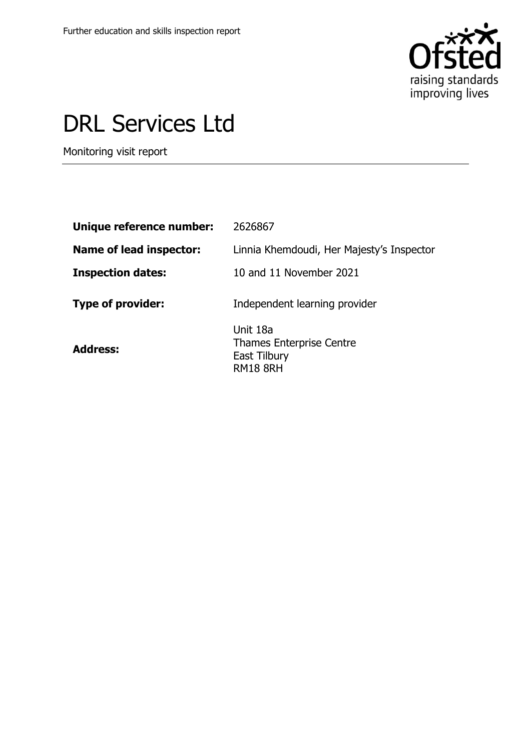

# DRL Services Ltd

Monitoring visit report

| Unique reference number:       | 2626867                                                                        |
|--------------------------------|--------------------------------------------------------------------------------|
| <b>Name of lead inspector:</b> | Linnia Khemdoudi, Her Majesty's Inspector                                      |
| <b>Inspection dates:</b>       | 10 and 11 November 2021                                                        |
| <b>Type of provider:</b>       | Independent learning provider                                                  |
| <b>Address:</b>                | Unit 18a<br><b>Thames Enterprise Centre</b><br>East Tilbury<br><b>RM18 8RH</b> |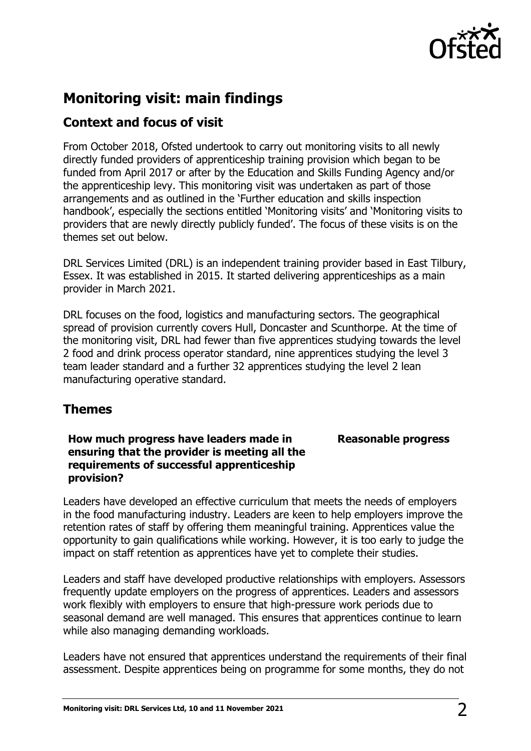

## **Monitoring visit: main findings**

## **Context and focus of visit**

From October 2018, Ofsted undertook to carry out monitoring visits to all newly directly funded providers of apprenticeship training provision which began to be funded from April 2017 or after by the Education and Skills Funding Agency and/or the apprenticeship levy. This monitoring visit was undertaken as part of those arrangements and as outlined in the 'Further education and skills inspection handbook', especially the sections entitled 'Monitoring visits' and 'Monitoring visits to providers that are newly directly publicly funded'. The focus of these visits is on the themes set out below.

DRL Services Limited (DRL) is an independent training provider based in East Tilbury, Essex. It was established in 2015. It started delivering apprenticeships as a main provider in March 2021.

DRL focuses on the food, logistics and manufacturing sectors. The geographical spread of provision currently covers Hull, Doncaster and Scunthorpe. At the time of the monitoring visit, DRL had fewer than five apprentices studying towards the level 2 food and drink process operator standard, nine apprentices studying the level 3 team leader standard and a further 32 apprentices studying the level 2 lean manufacturing operative standard.

## **Themes**

### **How much progress have leaders made in ensuring that the provider is meeting all the requirements of successful apprenticeship provision?**

### **Reasonable progress**

Leaders have developed an effective curriculum that meets the needs of employers in the food manufacturing industry. Leaders are keen to help employers improve the retention rates of staff by offering them meaningful training. Apprentices value the opportunity to gain qualifications while working. However, it is too early to judge the impact on staff retention as apprentices have yet to complete their studies.

Leaders and staff have developed productive relationships with employers. Assessors frequently update employers on the progress of apprentices. Leaders and assessors work flexibly with employers to ensure that high-pressure work periods due to seasonal demand are well managed. This ensures that apprentices continue to learn while also managing demanding workloads.

Leaders have not ensured that apprentices understand the requirements of their final assessment. Despite apprentices being on programme for some months, they do not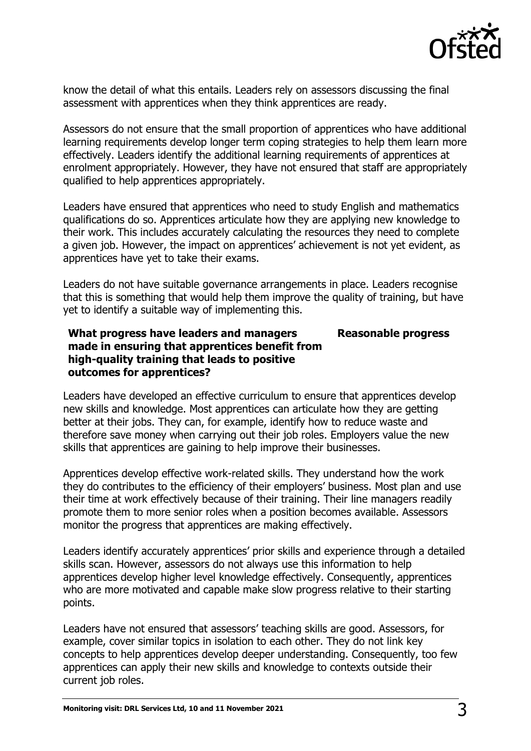

know the detail of what this entails. Leaders rely on assessors discussing the final assessment with apprentices when they think apprentices are ready.

Assessors do not ensure that the small proportion of apprentices who have additional learning requirements develop longer term coping strategies to help them learn more effectively. Leaders identify the additional learning requirements of apprentices at enrolment appropriately. However, they have not ensured that staff are appropriately qualified to help apprentices appropriately.

Leaders have ensured that apprentices who need to study English and mathematics qualifications do so. Apprentices articulate how they are applying new knowledge to their work. This includes accurately calculating the resources they need to complete a given job. However, the impact on apprentices' achievement is not yet evident, as apprentices have yet to take their exams.

Leaders do not have suitable governance arrangements in place. Leaders recognise that this is something that would help them improve the quality of training, but have yet to identify a suitable way of implementing this.

#### **What progress have leaders and managers made in ensuring that apprentices benefit from high-quality training that leads to positive outcomes for apprentices? Reasonable progress**

Leaders have developed an effective curriculum to ensure that apprentices develop new skills and knowledge. Most apprentices can articulate how they are getting better at their jobs. They can, for example, identify how to reduce waste and therefore save money when carrying out their job roles. Employers value the new skills that apprentices are gaining to help improve their businesses.

Apprentices develop effective work-related skills. They understand how the work they do contributes to the efficiency of their employers' business. Most plan and use their time at work effectively because of their training. Their line managers readily promote them to more senior roles when a position becomes available. Assessors monitor the progress that apprentices are making effectively.

Leaders identify accurately apprentices' prior skills and experience through a detailed skills scan. However, assessors do not always use this information to help apprentices develop higher level knowledge effectively. Consequently, apprentices who are more motivated and capable make slow progress relative to their starting points.

Leaders have not ensured that assessors' teaching skills are good. Assessors, for example, cover similar topics in isolation to each other. They do not link key concepts to help apprentices develop deeper understanding. Consequently, too few apprentices can apply their new skills and knowledge to contexts outside their current job roles.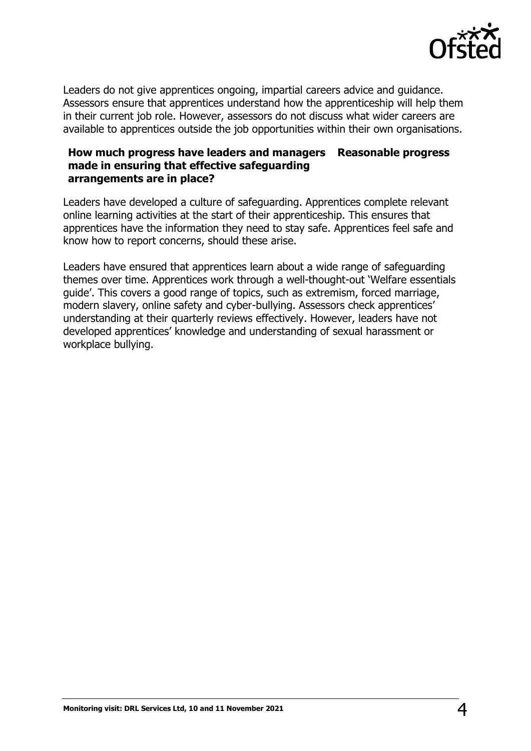

Leaders do not give apprentices ongoing, impartial careers advice and guidance. Assessors ensure that apprentices understand how the apprenticeship will help them in their current job role. However, assessors do not discuss what wider careers are available to apprentices outside the job opportunities within their own organisations.

#### **How much progress have leaders and managers Reasonable progress made in ensuring that effective safeguarding arrangements are in place?**

Leaders have developed a culture of safeguarding. Apprentices complete relevant online learning activities at the start of their apprenticeship. This ensures that apprentices have the information they need to stay safe. Apprentices feel safe and know how to report concerns, should these arise.

Leaders have ensured that apprentices learn about a wide range of safeguarding themes over time. Apprentices work through a well-thought-out 'Welfare essentials guide'. This covers a good range of topics, such as extremism, forced marriage, modern slavery, online safety and cyber-bullying. Assessors check apprentices' understanding at their quarterly reviews effectively. However, leaders have not developed apprentices' knowledge and understanding of sexual harassment or workplace bullying.